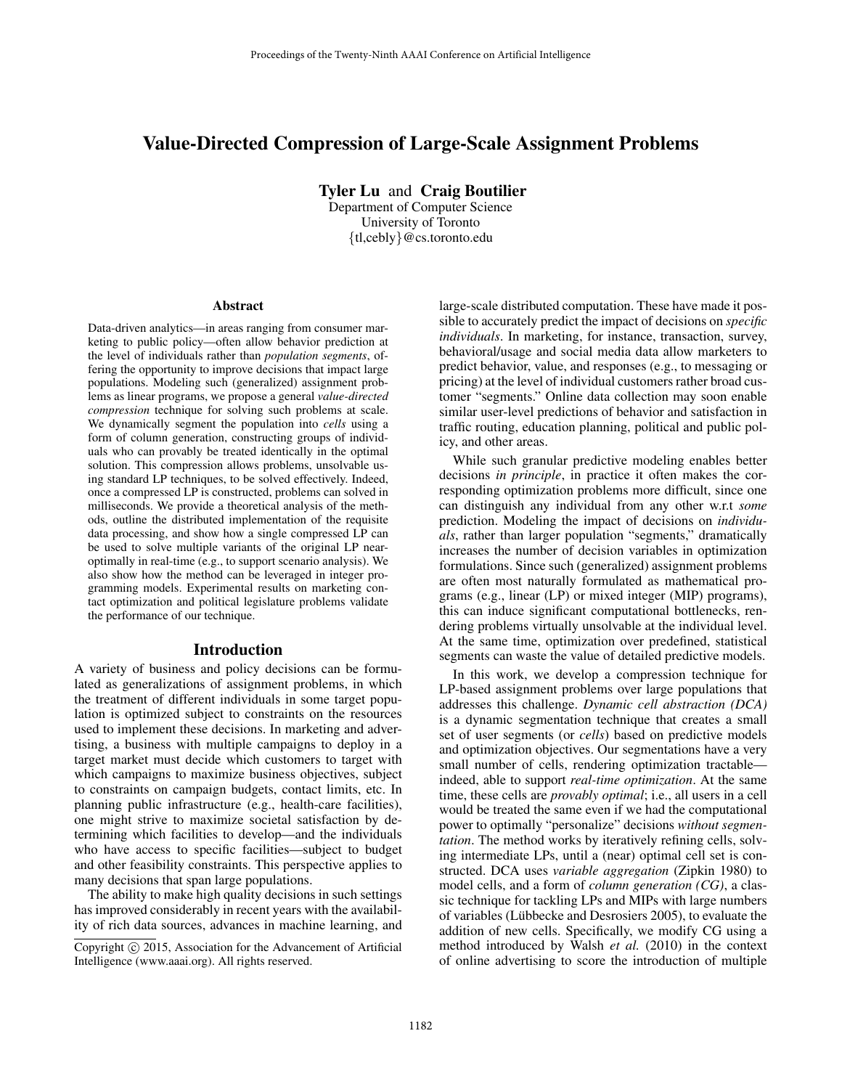# Value-Directed Compression of Large-Scale Assignment Problems

Tyler Lu and Craig Boutilier

Department of Computer Science University of Toronto {tl,cebly}@cs.toronto.edu

#### Abstract

Data-driven analytics—in areas ranging from consumer marketing to public policy—often allow behavior prediction at the level of individuals rather than *population segments*, offering the opportunity to improve decisions that impact large populations. Modeling such (generalized) assignment problems as linear programs, we propose a general *value-directed compression* technique for solving such problems at scale. We dynamically segment the population into *cells* using a form of column generation, constructing groups of individuals who can provably be treated identically in the optimal solution. This compression allows problems, unsolvable using standard LP techniques, to be solved effectively. Indeed, once a compressed LP is constructed, problems can solved in milliseconds. We provide a theoretical analysis of the methods, outline the distributed implementation of the requisite data processing, and show how a single compressed LP can be used to solve multiple variants of the original LP nearoptimally in real-time (e.g., to support scenario analysis). We also show how the method can be leveraged in integer programming models. Experimental results on marketing contact optimization and political legislature problems validate the performance of our technique.

### Introduction

A variety of business and policy decisions can be formulated as generalizations of assignment problems, in which the treatment of different individuals in some target population is optimized subject to constraints on the resources used to implement these decisions. In marketing and advertising, a business with multiple campaigns to deploy in a target market must decide which customers to target with which campaigns to maximize business objectives, subject to constraints on campaign budgets, contact limits, etc. In planning public infrastructure (e.g., health-care facilities), one might strive to maximize societal satisfaction by determining which facilities to develop—and the individuals who have access to specific facilities—subject to budget and other feasibility constraints. This perspective applies to many decisions that span large populations.

The ability to make high quality decisions in such settings has improved considerably in recent years with the availability of rich data sources, advances in machine learning, and large-scale distributed computation. These have made it possible to accurately predict the impact of decisions on *specific individuals*. In marketing, for instance, transaction, survey, behavioral/usage and social media data allow marketers to predict behavior, value, and responses (e.g., to messaging or pricing) at the level of individual customers rather broad customer "segments." Online data collection may soon enable similar user-level predictions of behavior and satisfaction in traffic routing, education planning, political and public policy, and other areas.

While such granular predictive modeling enables better decisions *in principle*, in practice it often makes the corresponding optimization problems more difficult, since one can distinguish any individual from any other w.r.t *some* prediction. Modeling the impact of decisions on *individuals*, rather than larger population "segments," dramatically increases the number of decision variables in optimization formulations. Since such (generalized) assignment problems are often most naturally formulated as mathematical programs (e.g., linear (LP) or mixed integer (MIP) programs), this can induce significant computational bottlenecks, rendering problems virtually unsolvable at the individual level. At the same time, optimization over predefined, statistical segments can waste the value of detailed predictive models.

In this work, we develop a compression technique for LP-based assignment problems over large populations that addresses this challenge. *Dynamic cell abstraction (DCA)* is a dynamic segmentation technique that creates a small set of user segments (or *cells*) based on predictive models and optimization objectives. Our segmentations have a very small number of cells, rendering optimization tractable indeed, able to support *real-time optimization*. At the same time, these cells are *provably optimal*; i.e., all users in a cell would be treated the same even if we had the computational power to optimally "personalize" decisions *without segmentation*. The method works by iteratively refining cells, solving intermediate LPs, until a (near) optimal cell set is constructed. DCA uses *variable aggregation* (Zipkin 1980) to model cells, and a form of *column generation (CG)*, a classic technique for tackling LPs and MIPs with large numbers of variables (Lübbecke and Desrosiers 2005), to evaluate the addition of new cells. Specifically, we modify CG using a method introduced by Walsh *et al.* (2010) in the context of online advertising to score the introduction of multiple

Copyright © 2015, Association for the Advancement of Artificial Intelligence (www.aaai.org). All rights reserved.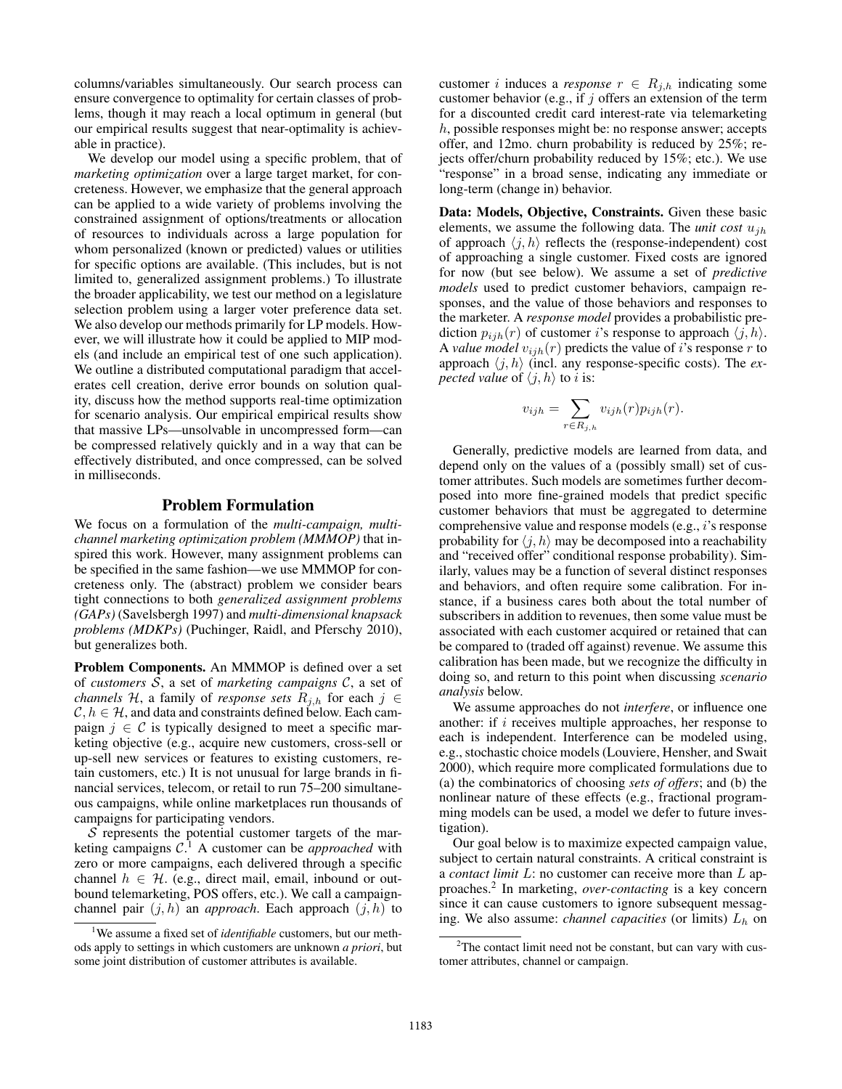columns/variables simultaneously. Our search process can ensure convergence to optimality for certain classes of problems, though it may reach a local optimum in general (but our empirical results suggest that near-optimality is achievable in practice).

We develop our model using a specific problem, that of *marketing optimization* over a large target market, for concreteness. However, we emphasize that the general approach can be applied to a wide variety of problems involving the constrained assignment of options/treatments or allocation of resources to individuals across a large population for whom personalized (known or predicted) values or utilities for specific options are available. (This includes, but is not limited to, generalized assignment problems.) To illustrate the broader applicability, we test our method on a legislature selection problem using a larger voter preference data set. We also develop our methods primarily for LP models. However, we will illustrate how it could be applied to MIP models (and include an empirical test of one such application). We outline a distributed computational paradigm that accelerates cell creation, derive error bounds on solution quality, discuss how the method supports real-time optimization for scenario analysis. Our empirical empirical results show that massive LPs—unsolvable in uncompressed form—can be compressed relatively quickly and in a way that can be effectively distributed, and once compressed, can be solved in milliseconds.

## Problem Formulation

We focus on a formulation of the *multi-campaign, multichannel marketing optimization problem (MMMOP)* that inspired this work. However, many assignment problems can be specified in the same fashion—we use MMMOP for concreteness only. The (abstract) problem we consider bears tight connections to both *generalized assignment problems (GAPs)* (Savelsbergh 1997) and *multi-dimensional knapsack problems (MDKPs)* (Puchinger, Raidl, and Pferschy 2010), but generalizes both.

Problem Components. An MMMOP is defined over a set of *customers* S, a set of *marketing campaigns* C, a set of *channels* H, a family of *response sets*  $R_{j,h}$  for each  $j \in$  $\mathcal{C}, h \in \mathcal{H}$ , and data and constraints defined below. Each campaign  $j \in \mathcal{C}$  is typically designed to meet a specific marketing objective (e.g., acquire new customers, cross-sell or up-sell new services or features to existing customers, retain customers, etc.) It is not unusual for large brands in financial services, telecom, or retail to run 75–200 simultaneous campaigns, while online marketplaces run thousands of campaigns for participating vendors.

 $S$  represents the potential customer targets of the marketing campaigns C. <sup>1</sup> A customer can be *approached* with zero or more campaigns, each delivered through a specific channel  $h \in \mathcal{H}$ . (e.g., direct mail, email, inbound or outbound telemarketing, POS offers, etc.). We call a campaignchannel pair  $(j, h)$  an *approach*. Each approach  $(j, h)$  to

customer *i* induces a *response*  $r \in R_{i,h}$  indicating some customer behavior (e.g., if  $j$  offers an extension of the term for a discounted credit card interest-rate via telemarketing h, possible responses might be: no response answer; accepts offer, and 12mo. churn probability is reduced by 25%; rejects offer/churn probability reduced by 15%; etc.). We use "response" in a broad sense, indicating any immediate or long-term (change in) behavior.

Data: Models, Objective, Constraints. Given these basic elements, we assume the following data. The *unit cost*  $u_{ih}$ of approach  $\langle j, h \rangle$  reflects the (response-independent) cost of approaching a single customer. Fixed costs are ignored for now (but see below). We assume a set of *predictive models* used to predict customer behaviors, campaign responses, and the value of those behaviors and responses to the marketer. A *response model* provides a probabilistic prediction  $p_{ijh}(r)$  of customer i's response to approach  $\langle j, h \rangle$ . A *value model*  $v_{ijh}(r)$  predicts the value of *i*'s response *r* to approach  $\langle j, h \rangle$  (incl. any response-specific costs). The *expected value* of  $\langle j, h \rangle$  to *i* is:

$$
v_{ijh} = \sum_{r \in R_{j,h}} v_{ijh}(r) p_{ijh}(r).
$$

Generally, predictive models are learned from data, and depend only on the values of a (possibly small) set of customer attributes. Such models are sometimes further decomposed into more fine-grained models that predict specific customer behaviors that must be aggregated to determine comprehensive value and response models (e.g., i's response probability for  $\langle j, h \rangle$  may be decomposed into a reachability and "received offer" conditional response probability). Similarly, values may be a function of several distinct responses and behaviors, and often require some calibration. For instance, if a business cares both about the total number of subscribers in addition to revenues, then some value must be associated with each customer acquired or retained that can be compared to (traded off against) revenue. We assume this calibration has been made, but we recognize the difficulty in doing so, and return to this point when discussing *scenario analysis* below.

We assume approaches do not *interfere*, or influence one another: if  $i$  receives multiple approaches, her response to each is independent. Interference can be modeled using, e.g., stochastic choice models (Louviere, Hensher, and Swait 2000), which require more complicated formulations due to (a) the combinatorics of choosing *sets of offers*; and (b) the nonlinear nature of these effects (e.g., fractional programming models can be used, a model we defer to future investigation).

Our goal below is to maximize expected campaign value, subject to certain natural constraints. A critical constraint is a *contact limit* L: no customer can receive more than L approaches.<sup>2</sup> In marketing, *over-contacting* is a key concern since it can cause customers to ignore subsequent messaging. We also assume: *channel capacities* (or limits)  $L<sub>h</sub>$  on

<sup>1</sup>We assume a fixed set of *identifiable* customers, but our methods apply to settings in which customers are unknown *a priori*, but some joint distribution of customer attributes is available.

<sup>&</sup>lt;sup>2</sup>The contact limit need not be constant, but can vary with customer attributes, channel or campaign.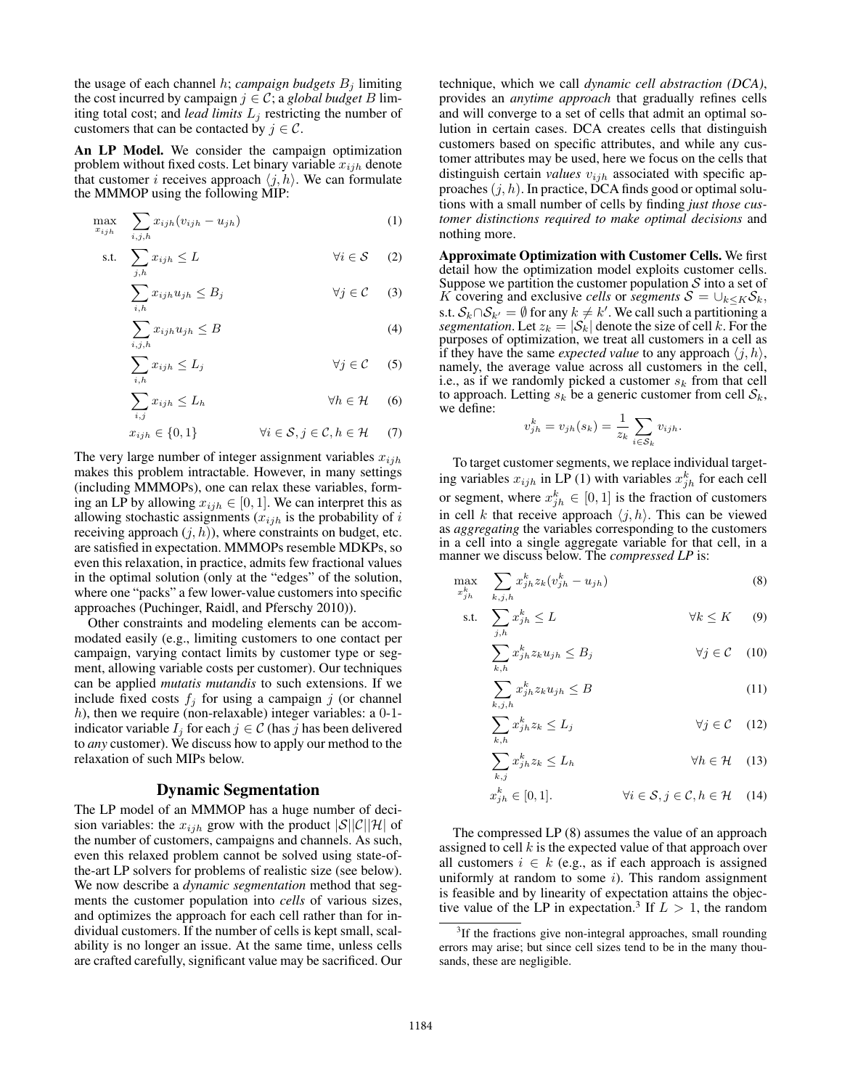the usage of each channel  $h$ ; *campaign budgets*  $B_i$  limiting the cost incurred by campaign  $j \in \mathcal{C}$ ; a *global budget* B limiting total cost; and *lead limits*  $L_j$  restricting the number of customers that can be contacted by  $j \in \mathcal{C}$ .

An LP Model. We consider the campaign optimization problem without fixed costs. Let binary variable  $x_{ijh}$  denote that customer *i* receives approach  $\langle j, h \rangle$ . We can formulate the MMMOP using the following MIP:

$$
\max_{x_{ijh}} \quad \sum_{i,j,h} x_{ijh} (v_{ijh} - u_{jh}) \tag{1}
$$

s.t. 
$$
\sum_{j,h} x_{ijh} \le L \qquad \forall i \in \mathcal{S} \qquad (2)
$$

$$
\sum_{i,h} x_{ijh} u_{jh} \le B_j \qquad \forall j \in \mathcal{C} \qquad (3)
$$

$$
\sum_{i,j,h} x_{ijh} u_{jh} \le B \tag{4}
$$

$$
\sum_{i,h} x_{ijh} \le L_j \qquad \forall j \in \mathcal{C} \qquad (5)
$$

$$
\sum_{i,j} x_{ijh} \le L_h \qquad \qquad \forall h \in \mathcal{H} \qquad (6)
$$

$$
x_{ijh} \in \{0, 1\} \qquad \forall i \in \mathcal{S}, j \in \mathcal{C}, h \in \mathcal{H} \qquad (7)
$$

The very large number of integer assignment variables  $x_{ijh}$ makes this problem intractable. However, in many settings (including MMMOPs), one can relax these variables, forming an LP by allowing  $x_{ijh} \in [0, 1]$ . We can interpret this as allowing stochastic assignments  $(x_{ijh}$  is the probability of i receiving approach  $(j, h)$ ), where constraints on budget, etc. are satisfied in expectation. MMMOPs resemble MDKPs, so even this relaxation, in practice, admits few fractional values in the optimal solution (only at the "edges" of the solution, where one "packs" a few lower-value customers into specific approaches (Puchinger, Raidl, and Pferschy 2010)).

Other constraints and modeling elements can be accommodated easily (e.g., limiting customers to one contact per campaign, varying contact limits by customer type or segment, allowing variable costs per customer). Our techniques can be applied *mutatis mutandis* to such extensions. If we include fixed costs  $f_i$  for using a campaign j (or channel h), then we require (non-relaxable) integer variables: a  $0-1$ indicator variable  $I_i$  for each  $j \in \mathcal{C}$  (has j has been delivered to *any* customer). We discuss how to apply our method to the relaxation of such MIPs below.

#### Dynamic Segmentation

The LP model of an MMMOP has a huge number of decision variables: the  $x_{ijh}$  grow with the product  $|\mathcal{S}||\mathcal{C}||\mathcal{H}|$  of the number of customers, campaigns and channels. As such, even this relaxed problem cannot be solved using state-ofthe-art LP solvers for problems of realistic size (see below). We now describe a *dynamic segmentation* method that segments the customer population into *cells* of various sizes, and optimizes the approach for each cell rather than for individual customers. If the number of cells is kept small, scalability is no longer an issue. At the same time, unless cells are crafted carefully, significant value may be sacrificed. Our

technique, which we call *dynamic cell abstraction (DCA)*, provides an *anytime approach* that gradually refines cells and will converge to a set of cells that admit an optimal solution in certain cases. DCA creates cells that distinguish customers based on specific attributes, and while any customer attributes may be used, here we focus on the cells that distinguish certain *values*  $v_{ijh}$  associated with specific approaches  $(j, h)$ . In practice, DCA finds good or optimal solutions with a small number of cells by finding *just those customer distinctions required to make optimal decisions* and nothing more.

Approximate Optimization with Customer Cells. We first detail how the optimization model exploits customer cells. Suppose we partition the customer population  $S$  into a set of K covering and exclusive *cells* or *segments*  $S = \bigcup_{k \leq K} S_k$ , s.t.  $S_k \cap S_{k'} = \emptyset$  for any  $k \neq k'$ . We call such a partitioning a *segmentation*. Let  $z_k = |\mathcal{S}_k|$  denote the size of cell k. For the purposes of optimization, we treat all customers in a cell as if they have the same *expected value* to any approach  $\langle j, h \rangle$ , namely, the average value across all customers in the cell, i.e., as if we randomly picked a customer  $s_k$  from that cell to approach. Letting  $s_k$  be a generic customer from cell  $S_k$ , we define:

$$
v_{jh}^k = v_{jh}(s_k) = \frac{1}{z_k} \sum_{i \in S_k} v_{ijh}.
$$

To target customer segments, we replace individual targeting variables  $x_{ijh}$  in LP (1) with variables  $x_{jh}^k$  for each cell or segment, where  $x_{jh}^{k} \in [0,1]$  is the fraction of customers in cell k that receive approach  $\langle j, h \rangle$ . This can be viewed as *aggregating* the variables corresponding to the customers in a cell into a single aggregate variable for that cell, in a manner we discuss below. The *compressed LP* is:

$$
\max_{x_{jh}^k} \sum_{k,j,h} x_{jh}^k z_k (v_{jh}^k - u_{jh}) \tag{8}
$$

$$
\text{s.t.} \quad \sum_{j,h} x_{jh}^k \le L \qquad \qquad \forall k \le K \qquad (9)
$$

$$
\sum_{k,h} x_{jh}^k z_k u_{jh} \le B_j \qquad \forall j \in \mathcal{C} \quad (10)
$$

$$
\sum_{k,j,h} x_{jh}^k z_k u_{jh} \le B \tag{11}
$$

$$
\sum_{k,h} x_{jh}^k z_k \le L_j \qquad \forall j \in \mathcal{C} \quad (12)
$$

$$
\sum_{k,j} x_{jh}^{k} z_k \le L_h \qquad \qquad \forall h \in \mathcal{H} \quad (13)
$$

$$
x_{jh}^{k} \in [0,1]. \qquad \forall i \in \mathcal{S}, j \in \mathcal{C}, h \in \mathcal{H} \quad (14)
$$

The compressed LP (8) assumes the value of an approach assigned to cell  $k$  is the expected value of that approach over all customers  $i \in k$  (e.g., as if each approach is assigned uniformly at random to some  $i$ ). This random assignment is feasible and by linearity of expectation attains the objective value of the LP in expectation.<sup>3</sup> If  $L > 1$ , the random

<sup>&</sup>lt;sup>3</sup>If the fractions give non-integral approaches, small rounding errors may arise; but since cell sizes tend to be in the many thousands, these are negligible.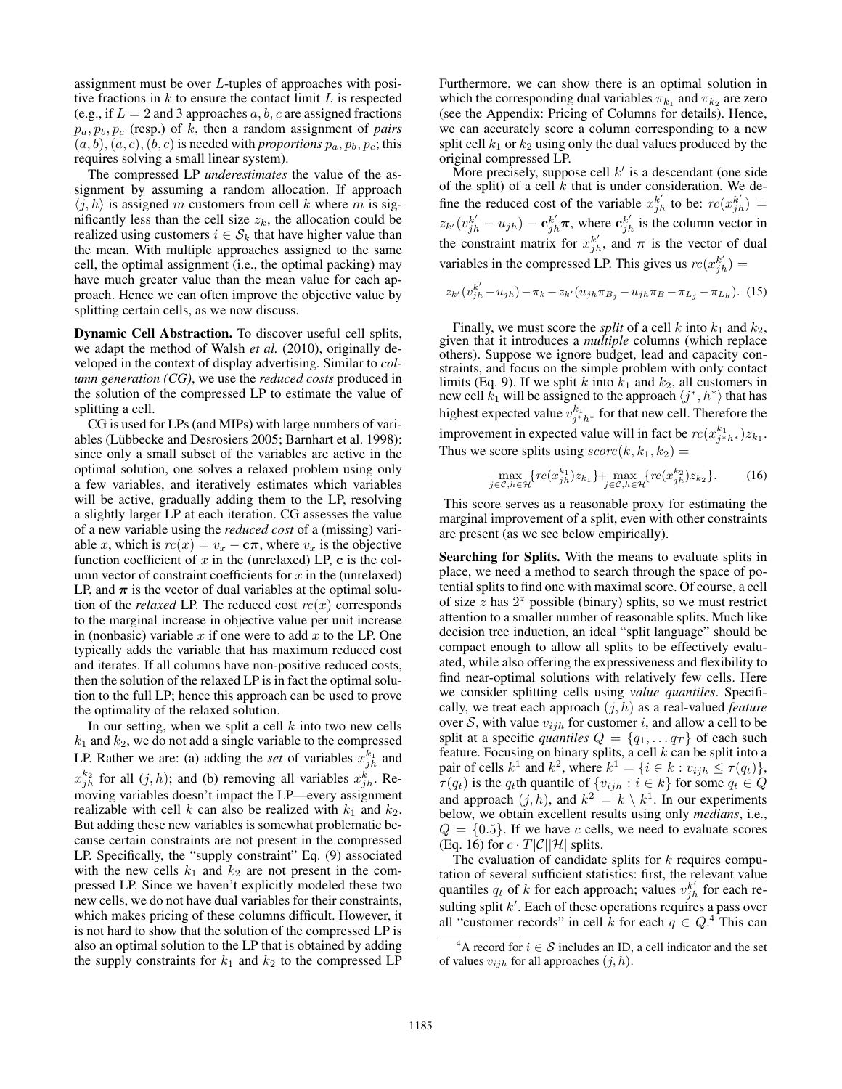assignment must be over L-tuples of approaches with positive fractions in  $k$  to ensure the contact limit  $L$  is respected (e.g., if  $L = 2$  and 3 approaches  $a, b, c$  are assigned fractions  $p_a, p_b, p_c$  (resp.) of k, then a random assignment of *pairs*  $(a, b), (a, c), (b, c)$  is needed with *proportions*  $p_a, p_b, p_c$ ; this requires solving a small linear system).

The compressed LP *underestimates* the value of the assignment by assuming a random allocation. If approach  $\langle j, h \rangle$  is assigned m customers from cell k where m is significantly less than the cell size  $z_k$ , the allocation could be realized using customers  $i \in S_k$  that have higher value than the mean. With multiple approaches assigned to the same cell, the optimal assignment (i.e., the optimal packing) may have much greater value than the mean value for each approach. Hence we can often improve the objective value by splitting certain cells, as we now discuss.

Dynamic Cell Abstraction. To discover useful cell splits, we adapt the method of Walsh *et al.* (2010), originally developed in the context of display advertising. Similar to *column generation (CG)*, we use the *reduced costs* produced in the solution of the compressed LP to estimate the value of splitting a cell.

CG is used for LPs (and MIPs) with large numbers of variables (Lübbecke and Desrosiers 2005; Barnhart et al. 1998): since only a small subset of the variables are active in the optimal solution, one solves a relaxed problem using only a few variables, and iteratively estimates which variables will be active, gradually adding them to the LP, resolving a slightly larger LP at each iteration. CG assesses the value of a new variable using the *reduced cost* of a (missing) variable x, which is  $rc(x) = v_x - c\pi$ , where  $v_x$  is the objective function coefficient of  $x$  in the (unrelaxed) LP,  $c$  is the column vector of constraint coefficients for  $x$  in the (unrelaxed) LP, and  $\pi$  is the vector of dual variables at the optimal solution of the *relaxed* LP. The reduced cost  $rc(x)$  corresponds to the marginal increase in objective value per unit increase in (nonbasic) variable  $x$  if one were to add  $x$  to the LP. One typically adds the variable that has maximum reduced cost and iterates. If all columns have non-positive reduced costs, then the solution of the relaxed LP is in fact the optimal solution to the full LP; hence this approach can be used to prove the optimality of the relaxed solution.

In our setting, when we split a cell  $k$  into two new cells  $k_1$  and  $k_2$ , we do not add a single variable to the compressed LP. Rather we are: (a) adding the *set* of variables  $x_{jh}^{k_1}$  and  $x_{jh}^{k_2}$  for all  $(j, h)$ ; and (b) removing all variables  $x_{jh}^k$ . Removing variables doesn't impact the LP—every assignment realizable with cell k can also be realized with  $k_1$  and  $k_2$ . But adding these new variables is somewhat problematic because certain constraints are not present in the compressed LP. Specifically, the "supply constraint" Eq. (9) associated with the new cells  $k_1$  and  $k_2$  are not present in the compressed LP. Since we haven't explicitly modeled these two new cells, we do not have dual variables for their constraints, which makes pricing of these columns difficult. However, it is not hard to show that the solution of the compressed LP is also an optimal solution to the LP that is obtained by adding the supply constraints for  $k_1$  and  $k_2$  to the compressed LP

Furthermore, we can show there is an optimal solution in which the corresponding dual variables  $\pi_{k_1}$  and  $\pi_{k_2}$  are zero (see the Appendix: Pricing of Columns for details). Hence, we can accurately score a column corresponding to a new split cell  $k_1$  or  $k_2$  using only the dual values produced by the original compressed LP.

More precisely, suppose cell  $k'$  is a descendant (one side of the split) of a cell  $k$  that is under consideration. We define the reduced cost of the variable  $x_{jh}^{k'}$  to be:  $rc(x_{jh}^{k'})$  =  $z_{k'}(v_{jh}^{k'} - u_{jh}) - \mathbf{c}_{jh}^{k'}\boldsymbol{\pi}$ , where  $\mathbf{c}_{jh}^{k'}$  is the column vector in the constraint matrix for  $x_{jh}^{k'}$ , and  $\pi$  is the vector of dual variables in the compressed LP. This gives us  $rc(x_{jh}^{k'})$  =

$$
z_{k'}(v_{jh}^{k'} - u_{jh}) - \pi_k - z_{k'}(u_{jh}\pi_{B_j} - u_{jh}\pi_B - \pi_{L_j} - \pi_{L_h}).
$$
 (15)

Finally, we must score the *split* of a cell k into  $k_1$  and  $k_2$ , given that it introduces a *multiple* columns (which replace others). Suppose we ignore budget, lead and capacity constraints, and focus on the simple problem with only contact limits (Eq. 9). If we split k into  $\overline{k}_1$  and  $k_2$ , all customers in new cell  $\vec{k}_1$  will be assigned to the approach  $\langle j^*, h^* \rangle$  that has highest expected value  $v_{j*h*}^{k_1}$  for that new cell. Therefore the improvement in expected value will in fact be  $rc(x_{j^*h^*}^{k_1})z_{k_1}$ . Thus we score splits using  $score(k, k_1, k_2)$  =

$$
\max_{j \in \mathcal{C}, h \in \mathcal{H}} \{ rc(x_{jh}^{k_1}) z_{k_1} \} + \max_{j \in \mathcal{C}, h \in \mathcal{H}} \{ rc(x_{jh}^{k_2}) z_{k_2} \}.
$$
 (16)

This score serves as a reasonable proxy for estimating the marginal improvement of a split, even with other constraints are present (as we see below empirically).

Searching for Splits. With the means to evaluate splits in place, we need a method to search through the space of potential splits to find one with maximal score. Of course, a cell of size  $\overline{z}$  has  $2^z$  possible (binary) splits, so we must restrict attention to a smaller number of reasonable splits. Much like decision tree induction, an ideal "split language" should be compact enough to allow all splits to be effectively evaluated, while also offering the expressiveness and flexibility to find near-optimal solutions with relatively few cells. Here we consider splitting cells using *value quantiles*. Specifically, we treat each approach (j, h) as a real-valued *feature* over S, with value  $v_{ijh}$  for customer i, and allow a cell to be split at a specific *quantiles*  $Q = \{q_1, \ldots q_T\}$  of each such feature. Focusing on binary splits, a cell  $k$  can be split into a pair of cells  $k^1$  and  $k^2$ , where  $k^1 = \{i \in k : v_{ijh} \leq \tau(q_t)\},\$  $\tau(q_t)$  is the  $q_t$ th quantile of  $\{v_{ijh} : i \in k\}$  for some  $q_t \in Q$ and approach  $(j, h)$ , and  $k^2 = k \setminus k^1$ . In our experiments below, we obtain excellent results using only *medians*, i.e.,  $Q = \{0.5\}$ . If we have c cells, we need to evaluate scores (Eq. 16) for  $c \cdot T|\mathcal{C}||\mathcal{H}|$  splits.

The evaluation of candidate splits for  $k$  requires computation of several sufficient statistics: first, the relevant value quantiles  $q_t$  of k for each approach; values  $v_{jh}^{k'}$  for each resulting split  $k'$ . Each of these operations requires a pass over all "customer records" in cell k for each  $q \in Q$ .<sup>4</sup> This can

<sup>&</sup>lt;sup>4</sup>A record for  $i \in S$  includes an ID, a cell indicator and the set of values  $v_{ijh}$  for all approaches  $(j, h)$ .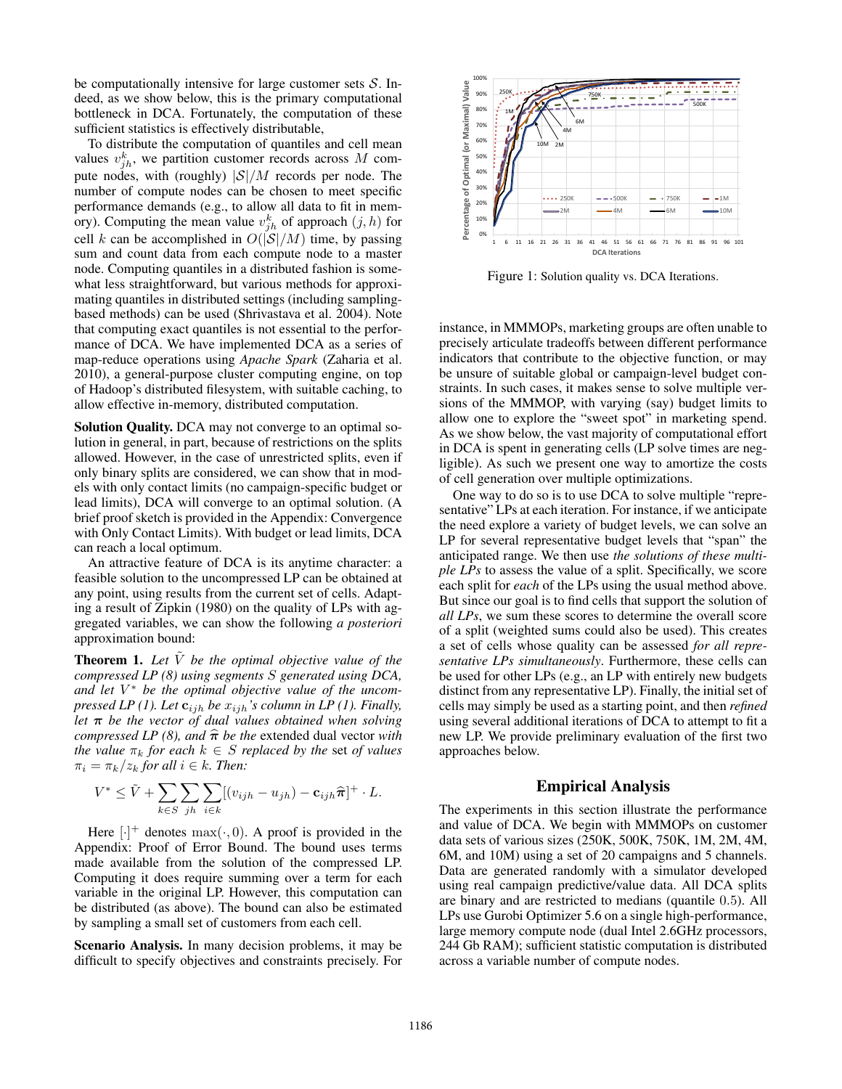be computationally intensive for large customer sets  $S$ . Indeed, as we show below, this is the primary computational bottleneck in DCA. Fortunately, the computation of these sufficient statistics is effectively distributable,

To distribute the computation of quantiles and cell mean values  $v_{jh}^k$ , we partition customer records across M compute nodes, with (roughly)  $|\mathcal{S}|/M$  records per node. The number of compute nodes can be chosen to meet specific performance demands (e.g., to allow all data to fit in memory). Computing the mean value  $v_{jh}^{k}$  of approach  $(j,h)$  for cell k can be accomplished in  $O(|S|/M)$  time, by passing sum and count data from each compute node to a master node. Computing quantiles in a distributed fashion is somewhat less straightforward, but various methods for approximating quantiles in distributed settings (including samplingbased methods) can be used (Shrivastava et al. 2004). Note that computing exact quantiles is not essential to the performance of DCA. We have implemented DCA as a series of map-reduce operations using *Apache Spark* (Zaharia et al. 2010), a general-purpose cluster computing engine, on top of Hadoop's distributed filesystem, with suitable caching, to allow effective in-memory, distributed computation.

Solution Quality. DCA may not converge to an optimal solution in general, in part, because of restrictions on the splits allowed. However, in the case of unrestricted splits, even if only binary splits are considered, we can show that in models with only contact limits (no campaign-specific budget or lead limits), DCA will converge to an optimal solution. (A brief proof sketch is provided in the Appendix: Convergence with Only Contact Limits). With budget or lead limits, DCA can reach a local optimum.

An attractive feature of DCA is its anytime character: a feasible solution to the uncompressed LP can be obtained at any point, using results from the current set of cells. Adapting a result of Zipkin (1980) on the quality of LPs with aggregated variables, we can show the following *a posteriori* approximation bound:

**Theorem 1.** Let  $\overline{V}$  be the optimal objective value of the *compressed LP (8) using segments* S *generated using DCA, and let* V <sup>∗</sup> *be the optimal objective value of the uncompressed LP (1). Let*  $\mathbf{c}_{ijh}$  *be*  $x_{ijh}$ *'s column in LP (1). Finally, let* π *be the vector of dual values obtained when solving compressed LP (8), and*  $\hat{\pi}$  *be the* extended dual vector *with the value*  $\pi_k$  *for each*  $k \in S$  *replaced by the set of values*  $\pi_i = \pi_k/z_k$  *for all*  $i \in k$ *. Then:* 

$$
V^* \leq \tilde{V} + \sum_{k \in S} \sum_{jh} \sum_{i \in k} [(v_{ijh} - u_{jh}) - \mathbf{c}_{ijh} \hat{\boldsymbol{\pi}}]^{+} \cdot L.
$$

Here  $[\cdot]^+$  denotes  $\max(\cdot, 0)$ . A proof is provided in the Appendix: Proof of Error Bound. The bound uses terms made available from the solution of the compressed LP. Computing it does require summing over a term for each variable in the original LP. However, this computation can be distributed (as above). The bound can also be estimated by sampling a small set of customers from each cell.

Scenario Analysis. In many decision problems, it may be difficult to specify objectives and constraints precisely. For



Figure 1: Solution quality vs. DCA Iterations.

instance, in MMMOPs, marketing groups are often unable to precisely articulate tradeoffs between different performance indicators that contribute to the objective function, or may be unsure of suitable global or campaign-level budget constraints. In such cases, it makes sense to solve multiple versions of the MMMOP, with varying (say) budget limits to allow one to explore the "sweet spot" in marketing spend. As we show below, the vast majority of computational effort in DCA is spent in generating cells (LP solve times are negligible). As such we present one way to amortize the costs of cell generation over multiple optimizations.

One way to do so is to use DCA to solve multiple "representative" LPs at each iteration. For instance, if we anticipate the need explore a variety of budget levels, we can solve an LP for several representative budget levels that "span" the anticipated range. We then use *the solutions of these multiple LPs* to assess the value of a split. Specifically, we score each split for *each* of the LPs using the usual method above. But since our goal is to find cells that support the solution of *all LPs*, we sum these scores to determine the overall score of a split (weighted sums could also be used). This creates a set of cells whose quality can be assessed *for all representative LPs simultaneously*. Furthermore, these cells can be used for other LPs (e.g., an LP with entirely new budgets distinct from any representative LP). Finally, the initial set of cells may simply be used as a starting point, and then *refined* using several additional iterations of DCA to attempt to fit a new LP. We provide preliminary evaluation of the first two approaches below.

## Empirical Analysis

The experiments in this section illustrate the performance and value of DCA. We begin with MMMOPs on customer data sets of various sizes (250K, 500K, 750K, 1M, 2M, 4M, 6M, and 10M) using a set of 20 campaigns and 5 channels. Data are generated randomly with a simulator developed using real campaign predictive/value data. All DCA splits are binary and are restricted to medians (quantile 0.5). All LPs use Gurobi Optimizer 5.6 on a single high-performance, large memory compute node (dual Intel 2.6GHz processors, 244 Gb RAM); sufficient statistic computation is distributed across a variable number of compute nodes.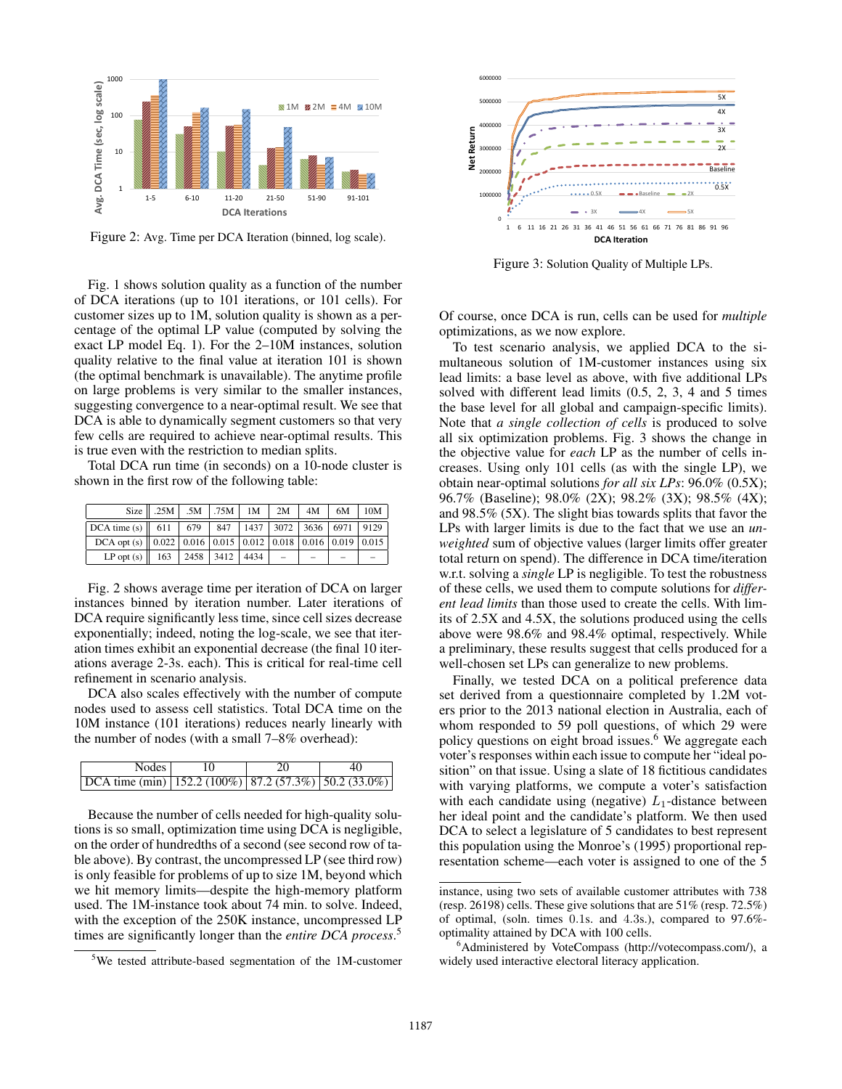

Figure 2: Avg. Time per DCA Iteration (binned, log scale).

Fig. 1 shows solution quality as a function of the number of DCA iterations (up to 101 iterations, or 101 cells). For customer sizes up to 1M, solution quality is shown as a percentage of the optimal LP value (computed by solving the exact LP model Eq. 1). For the 2–10M instances, solution quality relative to the final value at iteration 101 is shown (the optimal benchmark is unavailable). The anytime profile on large problems is very similar to the smaller instances, suggesting convergence to a near-optimal result. We see that DCA is able to dynamically segment customers so that very few cells are required to achieve near-optimal results. This is true even with the restriction to median splits.

Total DCA run time (in seconds) on a 10-node cluster is shown in the first row of the following table:

|                                                                                        | Size    .25M   .5M   .75M   1M   2M   4M   6M |  |  |  | 10M |
|----------------------------------------------------------------------------------------|-----------------------------------------------|--|--|--|-----|
| DCA time (s) $\ $ 611   679   847   1437   3072   3636   6971   9129                   |                                               |  |  |  |     |
| DCA opt (s) $\vert\vert$ 0.022   0.016   0.015   0.012   0.018   0.016   0.019   0.015 |                                               |  |  |  |     |
| LP opt (s)   163   2458   3412   4434   $-$                                            |                                               |  |  |  |     |

Fig. 2 shows average time per iteration of DCA on larger instances binned by iteration number. Later iterations of DCA require significantly less time, since cell sizes decrease exponentially; indeed, noting the log-scale, we see that iteration times exhibit an exponential decrease (the final 10 iterations average 2-3s. each). This is critical for real-time cell refinement in scenario analysis.

DCA also scales effectively with the number of compute nodes used to assess cell statistics. Total DCA time on the 10M instance (101 iterations) reduces nearly linearly with the number of nodes (with a small 7–8% overhead):

| Nodes                                                                       |  | 40 |
|-----------------------------------------------------------------------------|--|----|
| $\left[\text{DCA time (min)}\right]$ 152.2 (100%) 87.2 (57.3%) 50.2 (33.0%) |  |    |

Because the number of cells needed for high-quality solutions is so small, optimization time using DCA is negligible, on the order of hundredths of a second (see second row of table above). By contrast, the uncompressed LP (see third row) is only feasible for problems of up to size 1M, beyond which we hit memory limits—despite the high-memory platform used. The 1M-instance took about 74 min. to solve. Indeed, with the exception of the 250K instance, uncompressed LP times are significantly longer than the *entire DCA process*. 5



Figure 3: Solution Quality of Multiple LPs.

Of course, once DCA is run, cells can be used for *multiple* optimizations, as we now explore.

To test scenario analysis, we applied DCA to the simultaneous solution of 1M-customer instances using six lead limits: a base level as above, with five additional LPs solved with different lead limits (0.5, 2, 3, 4 and 5 times the base level for all global and campaign-specific limits). Note that *a single collection of cells* is produced to solve all six optimization problems. Fig. 3 shows the change in the objective value for *each* LP as the number of cells increases. Using only 101 cells (as with the single LP), we obtain near-optimal solutions *for all six LPs*: 96.0% (0.5X); 96.7% (Baseline); 98.0% (2X); 98.2% (3X); 98.5% (4X); and 98.5% (5X). The slight bias towards splits that favor the LPs with larger limits is due to the fact that we use an *unweighted* sum of objective values (larger limits offer greater total return on spend). The difference in DCA time/iteration w.r.t. solving a *single* LP is negligible. To test the robustness of these cells, we used them to compute solutions for *different lead limits* than those used to create the cells. With limits of 2.5X and 4.5X, the solutions produced using the cells above were 98.6% and 98.4% optimal, respectively. While a preliminary, these results suggest that cells produced for a well-chosen set LPs can generalize to new problems.

Finally, we tested DCA on a political preference data set derived from a questionnaire completed by 1.2M voters prior to the 2013 national election in Australia, each of whom responded to 59 poll questions, of which 29 were policy questions on eight broad issues.<sup>6</sup> We aggregate each voter's responses within each issue to compute her "ideal position" on that issue. Using a slate of 18 fictitious candidates with varying platforms, we compute a voter's satisfaction with each candidate using (negative)  $L_1$ -distance between her ideal point and the candidate's platform. We then used DCA to select a legislature of 5 candidates to best represent this population using the Monroe's (1995) proportional representation scheme—each voter is assigned to one of the 5

<sup>5</sup>We tested attribute-based segmentation of the 1M-customer

instance, using two sets of available customer attributes with 738 (resp. 26198) cells. These give solutions that are 51% (resp. 72.5%) of optimal, (soln. times 0.1s. and 4.3s.), compared to 97.6% optimality attained by DCA with 100 cells.

<sup>&</sup>lt;sup>6</sup>Administered by VoteCompass (http://votecompass.com/), a widely used interactive electoral literacy application.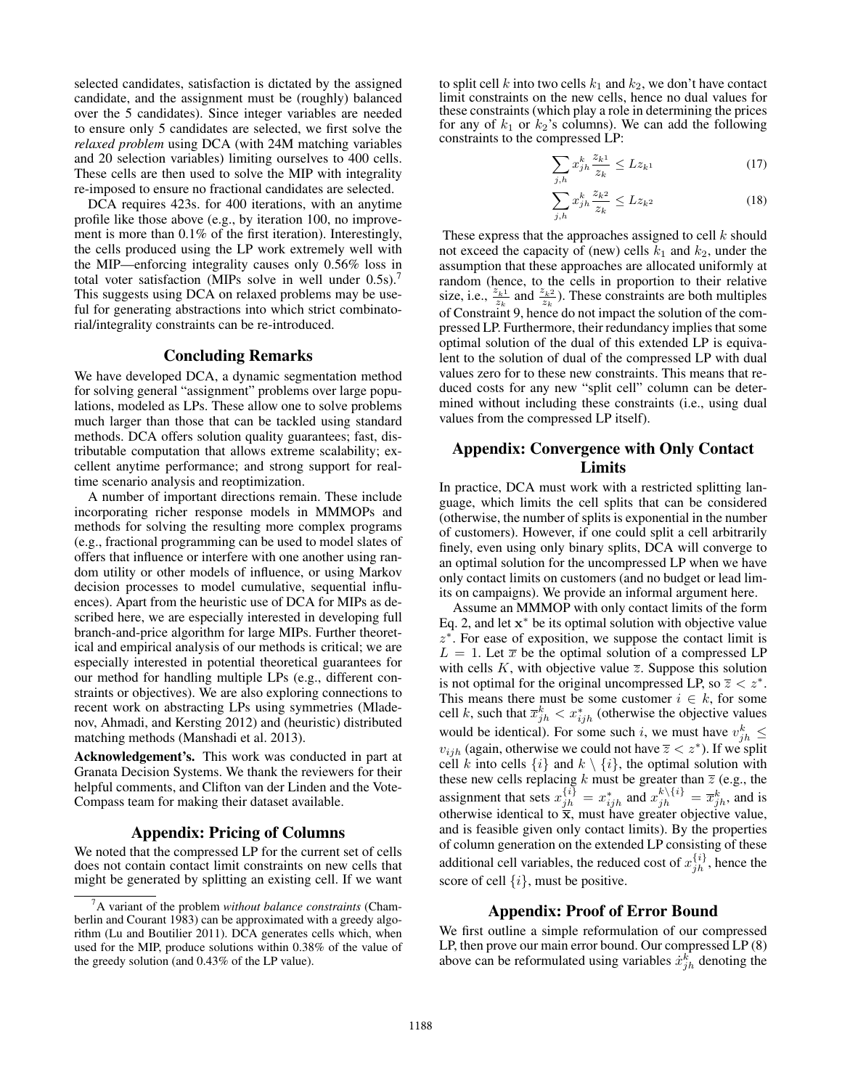selected candidates, satisfaction is dictated by the assigned candidate, and the assignment must be (roughly) balanced over the 5 candidates). Since integer variables are needed to ensure only 5 candidates are selected, we first solve the *relaxed problem* using DCA (with 24M matching variables and 20 selection variables) limiting ourselves to 400 cells. These cells are then used to solve the MIP with integrality re-imposed to ensure no fractional candidates are selected.

DCA requires 423s. for 400 iterations, with an anytime profile like those above (e.g., by iteration 100, no improvement is more than 0.1% of the first iteration). Interestingly, the cells produced using the LP work extremely well with the MIP—enforcing integrality causes only 0.56% loss in total voter satisfaction (MIPs solve in well under 0.5s).<sup>7</sup> This suggests using DCA on relaxed problems may be useful for generating abstractions into which strict combinatorial/integrality constraints can be re-introduced.

## Concluding Remarks

We have developed DCA, a dynamic segmentation method for solving general "assignment" problems over large populations, modeled as LPs. These allow one to solve problems much larger than those that can be tackled using standard methods. DCA offers solution quality guarantees; fast, distributable computation that allows extreme scalability; excellent anytime performance; and strong support for realtime scenario analysis and reoptimization.

A number of important directions remain. These include incorporating richer response models in MMMOPs and methods for solving the resulting more complex programs (e.g., fractional programming can be used to model slates of offers that influence or interfere with one another using random utility or other models of influence, or using Markov decision processes to model cumulative, sequential influences). Apart from the heuristic use of DCA for MIPs as described here, we are especially interested in developing full branch-and-price algorithm for large MIPs. Further theoretical and empirical analysis of our methods is critical; we are especially interested in potential theoretical guarantees for our method for handling multiple LPs (e.g., different constraints or objectives). We are also exploring connections to recent work on abstracting LPs using symmetries (Mladenov, Ahmadi, and Kersting 2012) and (heuristic) distributed matching methods (Manshadi et al. 2013).

Acknowledgement's. This work was conducted in part at Granata Decision Systems. We thank the reviewers for their helpful comments, and Clifton van der Linden and the Vote-Compass team for making their dataset available.

### Appendix: Pricing of Columns

We noted that the compressed LP for the current set of cells does not contain contact limit constraints on new cells that might be generated by splitting an existing cell. If we want

to split cell k into two cells  $k_1$  and  $k_2$ , we don't have contact limit constraints on the new cells, hence no dual values for these constraints (which play a role in determining the prices for any of  $k_1$  or  $k_2$ 's columns). We can add the following constraints to the compressed LP:

$$
\sum_{j,h} x_{jh}^k \frac{z_{k1}}{z_k} \le L z_{k1} \tag{17}
$$

$$
\sum_{j,h} x_{jh}^k \frac{z_{k^2}}{z_k} \le L z_{k^2}
$$
\n(18)

These express that the approaches assigned to cell  $k$  should not exceed the capacity of (new) cells  $k_1$  and  $k_2$ , under the assumption that these approaches are allocated uniformly at random (hence, to the cells in proportion to their relative size, i.e.,  $\frac{z_{k1}}{z_k}$  and  $\frac{z_{k2}}{z_k}$ ). These constraints are both multiples of Constraint 9, hence do not impact the solution of the compressed LP. Furthermore, their redundancy implies that some optimal solution of the dual of this extended LP is equivalent to the solution of dual of the compressed LP with dual values zero for to these new constraints. This means that reduced costs for any new "split cell" column can be determined without including these constraints (i.e., using dual values from the compressed LP itself).

# Appendix: Convergence with Only Contact Limits

In practice, DCA must work with a restricted splitting language, which limits the cell splits that can be considered (otherwise, the number of splits is exponential in the number of customers). However, if one could split a cell arbitrarily finely, even using only binary splits, DCA will converge to an optimal solution for the uncompressed LP when we have only contact limits on customers (and no budget or lead limits on campaigns). We provide an informal argument here.

Assume an MMMOP with only contact limits of the form Eq. 2, and let  $x^*$  be its optimal solution with objective value  $z^*$ . For ease of exposition, we suppose the contact limit is  $L = 1$ . Let  $\bar{x}$  be the optimal solution of a compressed LP with cells K, with objective value  $\overline{z}$ . Suppose this solution is not optimal for the original uncompressed LP, so  $\overline{z} < z^*$ . This means there must be some customer  $i \in k$ , for some cell k, such that  $\bar{x}_{jh}^k < x_{ijh}^*$  (otherwise the objective values would be identical). For some such i, we must have  $v_{jh}^k \leq$  $v_{ijh}$  (again, otherwise we could not have  $\overline{z} < z^*$ ). If we split cell k into cells  $\{i\}$  and  $k \setminus \{i\}$ , the optimal solution with these new cells replacing k must be greater than  $\overline{z}$  (e.g., the assignment that sets  $x_{jh}^{\{i\}} = x_{ijh}^*$  and  $x_{jh}^{k\setminus\{i\}} = \overline{x}_{jh}^k$ , and is otherwise identical to  $\bar{x}$ , must have greater objective value, and is feasible given only contact limits). By the properties of column generation on the extended LP consisting of these additional cell variables, the reduced cost of  $x_{jh}^{\{i\}}$ , hence the score of cell  $\{i\}$ , must be positive.

### Appendix: Proof of Error Bound

We first outline a simple reformulation of our compressed LP, then prove our main error bound. Our compressed LP (8) above can be reformulated using variables  $\dot{x}_{jh}^k$  denoting the

<sup>7</sup>A variant of the problem *without balance constraints* (Chamberlin and Courant 1983) can be approximated with a greedy algorithm (Lu and Boutilier 2011). DCA generates cells which, when used for the MIP, produce solutions within 0.38% of the value of the greedy solution (and 0.43% of the LP value).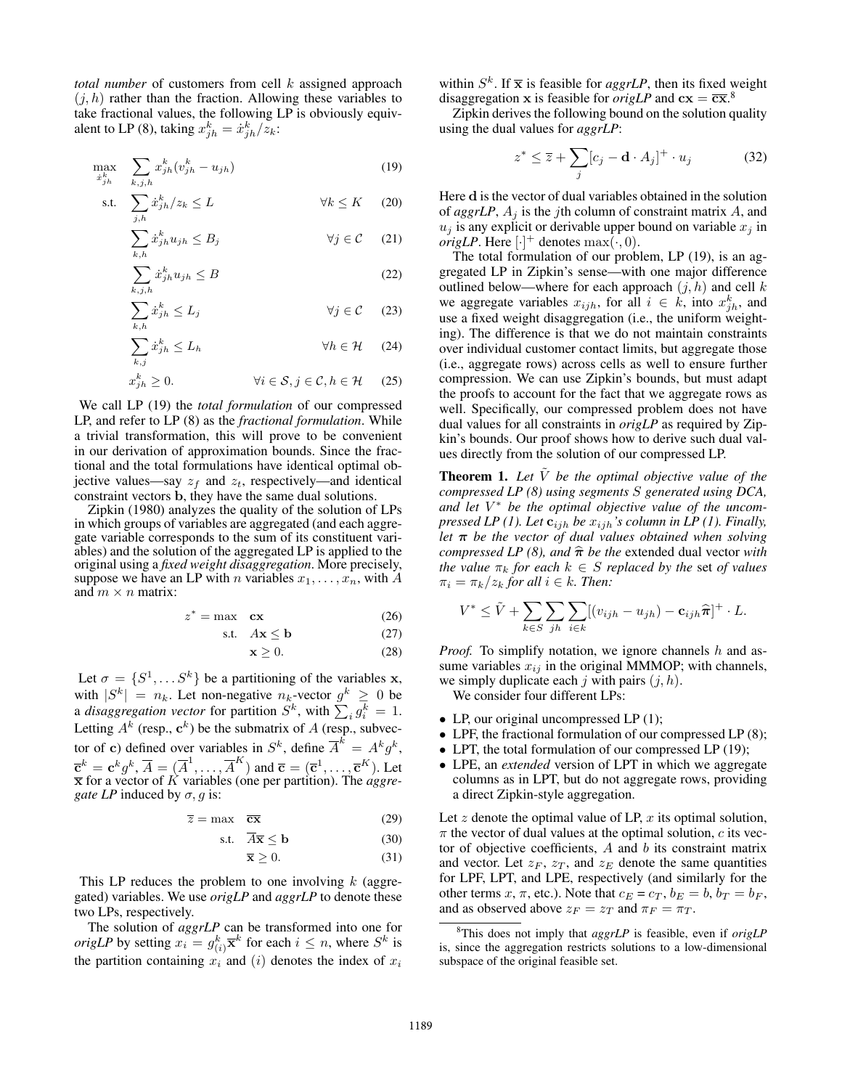*total number* of customers from cell k assigned approach  $(j, h)$  rather than the fraction. Allowing these variables to take fractional values, the following LP is obviously equivalent to LP (8), taking  $x_{jh}^k = \dot{x}_{jh}^k / z_k$ :

$$
\max_{\dot{x}_{jh}^k} \quad \sum_{k,j,h} x_{jh}^k (v_{jh}^k - u_{jh}) \tag{19}
$$

$$
\text{s.t.} \quad \sum_{j,h} \dot{x}_{jh}^k / z_k \le L \qquad \qquad \forall k \le K \qquad (20)
$$

$$
\sum_{k,h} \dot{x}_{jh}^k u_{jh} \le B_j \qquad \forall j \in \mathcal{C} \qquad (21)
$$

$$
\sum_{k,j,h} \dot{x}_{jh}^k u_{jh} \le B \tag{22}
$$

$$
\sum_{k,h} \dot{x}_{jh}^k \le L_j \qquad \qquad \forall j \in \mathcal{C} \qquad (23)
$$

$$
\sum_{k,j} \dot{x}_{jh}^k \le L_h \qquad \qquad \forall h \in \mathcal{H} \qquad (24)
$$

$$
x_{jh}^{k} \ge 0. \qquad \qquad \forall i \in \mathcal{S}, j \in \mathcal{C}, h \in \mathcal{H} \qquad (25)
$$

We call LP (19) the *total formulation* of our compressed LP, and refer to LP (8) as the *fractional formulation*. While a trivial transformation, this will prove to be convenient in our derivation of approximation bounds. Since the fractional and the total formulations have identical optimal objective values—say  $z_f$  and  $z_t$ , respectively—and identical constraint vectors b, they have the same dual solutions.

Zipkin (1980) analyzes the quality of the solution of LPs in which groups of variables are aggregated (and each aggregate variable corresponds to the sum of its constituent variables) and the solution of the aggregated LP is applied to the original using a *fixed weight disaggregation*. More precisely, suppose we have an LP with *n* variables  $x_1, \ldots, x_n$ , with *A* and  $m \times n$  matrix:

$$
z^* = \max \mathbf{cx} \tag{26}
$$

$$
\text{s.t.} \quad A\mathbf{x} \le \mathbf{b} \tag{27}
$$

$$
\mathbf{x} \ge 0. \tag{28}
$$

Let  $\sigma = \{S^1, \dots S^k\}$  be a partitioning of the variables **x**, with  $|S^k| = n_k$ . Let non-negative  $n_k$ -vector  $g^k \geq 0$  be a *disaggregation vector* for partition  $S^k$ , with  $\sum_i g_i^k = 1$ . Letting  $A^k$  (resp.,  $\mathbf{c}^k$ ) be the submatrix of A (resp., subvector of c) defined over variables in  $S^k$ , define  $\overline{A}^k = A^k g^k$ ,  $\overline{\mathbf{c}}^k = \mathbf{c}^k g^k, \, \overline{A} = (\overline{A}^1, \ldots, \overline{A}^K)$  and  $\overline{\mathbf{c}} = (\overline{\mathbf{c}}^1, \ldots, \overline{\mathbf{c}}^K)$ . Let  $\bar{x}$  for a vector of  $\bar{K}$  variables (one per partition). The *aggregate LP* induced by  $\sigma$ , g is:

$$
\overline{z} = \max \quad \overline{cx} \tag{29}
$$

$$
\text{s.t.} \quad \overline{A}\overline{\mathbf{x}} \le \mathbf{b} \tag{30}
$$

$$
\overline{\mathbf{x}} \ge 0. \tag{31}
$$

This LP reduces the problem to one involving  $k$  (aggregated) variables. We use *origLP* and *aggrLP* to denote these two LPs, respectively.

The solution of *aggrLP* can be transformed into one for *origLP* by setting  $x_i = g_{(i)}^k \overline{\mathbf{x}}^k$  for each  $i \leq n$ , where  $S^k$  is the partition containing  $x_i$  and (i) denotes the index of  $x_i$ 

within  $S^k$ . If  $\bar{x}$  is feasible for *aggrLP*, then its fixed weight disaggregation x is feasible for *origLP* and  $cx = \overline{cx}$ .<sup>8</sup>

Zipkin derives the following bound on the solution quality using the dual values for *aggrLP*:

$$
z^* \le \overline{z} + \sum_j [c_j - \mathbf{d} \cdot A_j]^+ \cdot u_j \tag{32}
$$

Here d is the vector of dual variables obtained in the solution of  $aggrLP$ ,  $A_i$  is the *j*th column of constraint matrix  $A$ , and  $u_j$  is any explicit or derivable upper bound on variable  $x_j$  in *origLP*. Here  $[\cdot]^+$  denotes  $\max(\cdot, 0)$ .

The total formulation of our problem, LP (19), is an aggregated LP in Zipkin's sense—with one major difference outlined below—where for each approach  $(j, h)$  and cell k we aggregate variables  $x_{ijh}$ , for all  $i \in k$ , into  $x_{jh}^k$ , and use a fixed weight disaggregation (i.e., the uniform weighting). The difference is that we do not maintain constraints over individual customer contact limits, but aggregate those (i.e., aggregate rows) across cells as well to ensure further compression. We can use Zipkin's bounds, but must adapt the proofs to account for the fact that we aggregate rows as well. Specifically, our compressed problem does not have dual values for all constraints in *origLP* as required by Zipkin's bounds. Our proof shows how to derive such dual values directly from the solution of our compressed LP.

**Theorem 1.** Let  $\tilde{V}$  be the optimal objective value of the *compressed LP (8) using segments* S *generated using DCA, and let* V <sup>∗</sup> *be the optimal objective value of the uncompressed LP (1). Let*  $\mathbf{c}_{ijh}$  *be*  $x_{ijh}$ *'s column in LP (1). Finally, let* π *be the vector of dual values obtained when solving compressed LP (8), and*  $\hat{\pi}$  *be the* extended dual vector *with the value*  $\pi_k$  *for each*  $k \in S$  *replaced by the set of values*  $\pi_i = \pi_k/z_k$  *for all*  $i \in k$ *. Then:* 

$$
V^* \leq \tilde{V} + \sum_{k \in S} \sum_{jh} \sum_{i \in k} [(v_{ijh} - u_{jh}) - \mathbf{c}_{ijh} \hat{\boldsymbol{\pi}}]^{+} \cdot L.
$$

*Proof.* To simplify notation, we ignore channels h and assume variables  $x_{ij}$  in the original MMMOP; with channels, we simply duplicate each j with pairs  $(j, h)$ .

We consider four different LPs:

- LP, our original uncompressed LP (1);
- LPF, the fractional formulation of our compressed LP (8);
- LPT, the total formulation of our compressed LP (19);
- LPE, an *extended* version of LPT in which we aggregate columns as in LPT, but do not aggregate rows, providing a direct Zipkin-style aggregation.

Let  $z$  denote the optimal value of LP,  $x$  its optimal solution,  $\pi$  the vector of dual values at the optimal solution, c its vector of objective coefficients,  $A$  and  $b$  its constraint matrix and vector. Let  $z_F$ ,  $z_T$ , and  $z_E$  denote the same quantities for LPF, LPT, and LPE, respectively (and similarly for the other terms x,  $\pi$ , etc.). Note that  $c_E = c_T$ ,  $b_E = b$ ,  $b_T = b_F$ , and as observed above  $z_F = z_T$  and  $\pi_F = \pi_T$ .

<sup>8</sup>This does not imply that *aggrLP* is feasible, even if *origLP* is, since the aggregation restricts solutions to a low-dimensional subspace of the original feasible set.